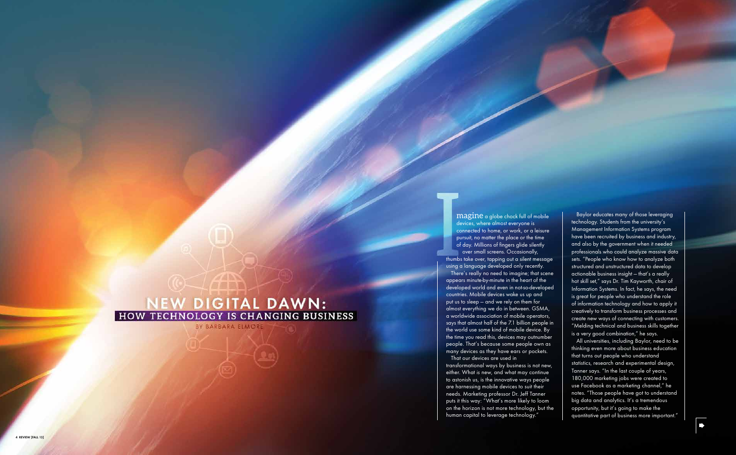over small screens. Occasionally,

 magine a globe chock full of mobile devices, where almost everyone is connected to home, or work, or a leisure pursuit, no matter the place or the time of day. Millions of fingers glide silently There's really no need to imagine; that scene That our devices are used in

thumbs take over, tapping out a silent message using a language developed only recently. appears minute-by-minute in the heart of the developed world and even in not-so-developed countries. Mobile devices wake us up and put us to sleep — and we rely on them for almost everything we do in between. GSMA, a worldwide association of mobile operators, says that almost half of the 7.1 billion people in the world use some kind of mobile device. By the time you read this, devices may outnumber people. That's because some people own as many devices as they have ears or pockets.

# NEW DIGITAL DAWN:<br>HOW TECHNOLOGY IS CHANGING BUSINESS

BY BARBARA ELMORE

transformational ways by business is not new, either. What is new, and what may continue to astonish us, is the innovative ways people are harnessing mobile devices to suit their needs. Marketing professor Dr. Jeff Tanner puts it this way: "What's more likely to loom on the horizon is not more technology, but the human capital to leverage technology."

Baylor educates many of those leveraging technology. Students from the university's Management Information Systems program have been recruited by business and industry, and also by the government when it needed professionals who could analyze massive data sets. "People who know how to analyze both structured and unstructured data to develop actionable business insight — that's a really hot skill set," says Dr. Tim Kayworth, chair of Information Systems. In fact, he says, the need is great for people who understand the role of information technology and how to apply it creatively to transform business processes and create new ways of connecting with customers. "Melding technical and business skills together is a very good combination," he says.

All universities, including Baylor, need to be thinking even more about business education that turns out people who understand statistics, research and experimental design, Tanner says. "In the last couple of years, 180,000 marketing jobs were created to use Facebook as a marketing channel," he notes. "Those people have got to understand big data and analytics. It's a tremendous opportunity, but it's going to make the quantitative part of business more important."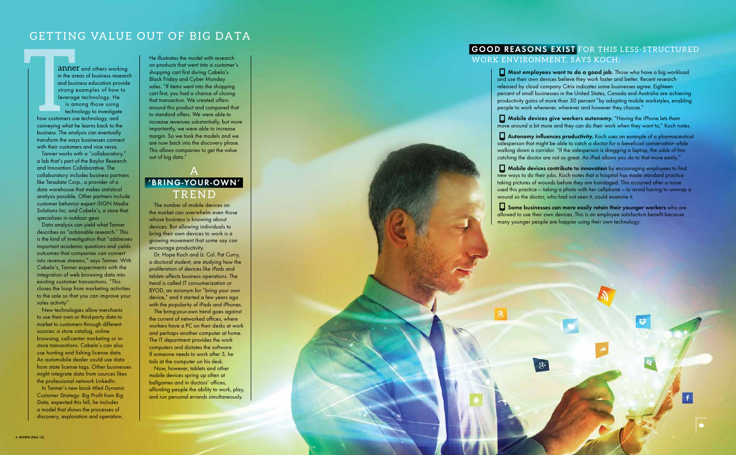## GETTING VALUE OUT OF BIG DATA

anner and others working in the areas of business research and business education provide strong examples of how to leverage technology. He is among those using technology to investigate how customers use technology, and conveying what he learns back to the business. The analysis can eventually transform the ways businesses connect with their customers and vice versa.

i

Tanner works with a "collaboratory," a lab that's part of the Baylor Research and Innovation Collaborative. The collaboratory includes business partners like Teradata Corp., a provider of a data warehouse that makes statistical analysis possible. Other partners include customer behavior expert iSIGN Media Solutions Inc. and Cabela's, a store that specializes in outdoor gear.

Data analysis can yield what Tanner describes as "actionable research." This is the kind of investigation that "addresses important academic questions and yields outcomes that companies can convert into revenue streams," says Tanner. With Cabela's, Tanner experiments with the integration of web browsing data into existing customer transactions. "This closes the loop from marketing activities to the sale so that you can improve your sales activity"

New technologies allow merchants to use their own or third-party data to market to customers through different sources: a store catalog, online browsing, call-center marketing or instore transactions. Cabela's can also use hunting and fishing license data. An automobile dealer could use data from state license tags. Other businesses might integrate data from sources likes the professional network LinkedIn.

In Tanner's new book titled Dynamic Customer Strategy: Big Profit from Big Data, expected this fall, he includes a model that shows the processes of discovery, exploration and operation.

He illustrates the model with research on products that went into a customer's shopping cart first during Cabela's Black Friday and Cyber Monday sales. "If items went into the shopping cart first, you had a chance of closing that transaction. We created offers around this product and compared that to standard offers. We were able to increase revenues substantially, but more importantly, we were able to increase margin. So we took the models and we are now back into the discovery phase. This allows companies to get the value out of big data."

### A **'bring-y o u r -own '** TREND

The number of mobile devices on the market can overwhelm even those whose business is knowing about devices. But allowing individuals to bring their own devices to work is a growing movement that some say can encourage productivity.

Dr. Hope Koch and Lt. Col. Pat Curry, a doctoral student, are studying how the proliferation of devices like iPads and tablets affects business operations. The trend is called IT consumerization or BYOD, an acronym for "bring your own device," and it started a few years ago with the popularity of iPads and iPhones.

The bring-your-own trend goes against the current of networked offices, where workers have a PC on their desks at work and perhaps another computer at home. The IT department provides the work computers and dictates the software. If someone needs to work after 5, he toils at the computer on his desk.

Now, however, tablets and other mobile devices spring up often at ballgames and in doctors' offices, affording people the ability to work, play, and run personal errands simultaneously.



 **Most employees want to do a good job.** Those who have a big workload and use their own devices believe they work faster and better. Recent research released by cloud company Citrix indicates some businesses agree. Eighteen percent of small businesses in the United States, Canada and Australia are achieving productivity gains of more than 30 percent "by adopting mobile workstyles, enabling people to work whenever, wherever and however they choose." **Mobile devices give workers autonomy.** "Having the iPhone lets them move around a bit more and they can do their work when they want to," Koch notes.  **Autonomy influences productivity.** Koch uses an example of a pharmaceutical salesperson that might be able to catch a doctor for a beneficial conversation while walking down a corridor. "If the salesperson is dragging a laptop, the odds of him catching the doctor are not so great. An iPad allows you do to that more easily."  **Mobile devices contribute to innovation** by encouraging employees to find new ways to do their jobs. Koch notes that a hospital has made standard practice taking pictures of wounds before they are bandaged. This occurred after a nurse used this practice — taking a photo with her cellphone — to avoid having to unwrap a wound so the doctor, who had not seen it, could examine it. **Some businesses can more easily retain their younger workers** who are allowed to use their own devices. This is an employee satisfaction benefit because many younger people are happier using their own technology.

 $8+$ 

#### GOOD REASONS EXIST FOR THIS LESS-STRUCTURED WORK ENVIRONMENT, SAYS KOCH: